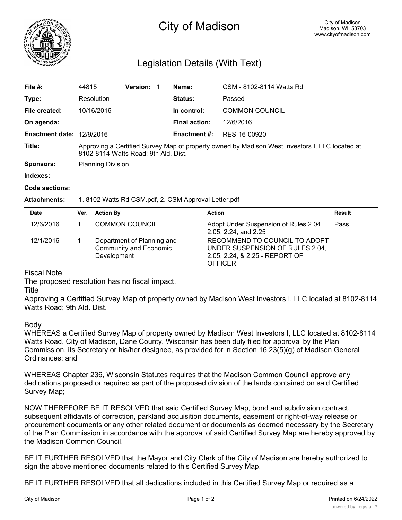

# City of Madison

## Legislation Details (With Text)

| File $#$ :                | 44815                                                                                                                                  | <b>Version:</b> | Name:                | CSM - 8102-8114 Watts Rd |  |
|---------------------------|----------------------------------------------------------------------------------------------------------------------------------------|-----------------|----------------------|--------------------------|--|
| Type:                     | Resolution                                                                                                                             |                 | <b>Status:</b>       | Passed                   |  |
| File created:             | 10/16/2016                                                                                                                             |                 | In control:          | <b>COMMON COUNCIL</b>    |  |
| On agenda:                |                                                                                                                                        |                 | <b>Final action:</b> | 12/6/2016                |  |
| Enactment date: 12/9/2016 |                                                                                                                                        |                 | <b>Enactment #:</b>  | RES-16-00920             |  |
| Title:                    | Approving a Certified Survey Map of property owned by Madison West Investors I, LLC located at<br>8102-8114 Watts Road; 9th Ald. Dist. |                 |                      |                          |  |
| <b>Sponsors:</b>          | <b>Planning Division</b>                                                                                                               |                 |                      |                          |  |
| Indexes:                  |                                                                                                                                        |                 |                      |                          |  |

#### **Code sections:**

### **Attachments:** 1. 8102 Watts Rd CSM.pdf, 2. CSM Approval Letter.pdf

| <b>Date</b> | Ver. | <b>Action By</b>                                                           | <b>Action</b>                                                                                                        | Result |
|-------------|------|----------------------------------------------------------------------------|----------------------------------------------------------------------------------------------------------------------|--------|
| 12/6/2016   |      | <b>COMMON COUNCIL</b>                                                      | Adopt Under Suspension of Rules 2.04,<br>2.05, 2.24, and 2.25                                                        | Pass   |
| 12/1/2016   |      | Department of Planning and<br><b>Community and Economic</b><br>Development | RECOMMEND TO COUNCIL TO ADOPT<br>UNDER SUSPENSION OF RULES 2.04,<br>2.05, 2.24, & 2.25 - REPORT OF<br><b>OFFICER</b> |        |

### Fiscal Note

The proposed resolution has no fiscal impact.

Title

Approving a Certified Survey Map of property owned by Madison West Investors I, LLC located at 8102-8114 Watts Road; 9th Ald. Dist.

### Body

WHEREAS a Certified Survey Map of property owned by Madison West Investors I, LLC located at 8102-8114 Watts Road, City of Madison, Dane County, Wisconsin has been duly filed for approval by the Plan Commission, its Secretary or his/her designee, as provided for in Section 16.23(5)(g) of Madison General Ordinances; and

WHEREAS Chapter 236, Wisconsin Statutes requires that the Madison Common Council approve any dedications proposed or required as part of the proposed division of the lands contained on said Certified Survey Map;

NOW THEREFORE BE IT RESOLVED that said Certified Survey Map, bond and subdivision contract, subsequent affidavits of correction, parkland acquisition documents, easement or right-of-way release or procurement documents or any other related document or documents as deemed necessary by the Secretary of the Plan Commission in accordance with the approval of said Certified Survey Map are hereby approved by the Madison Common Council.

BE IT FURTHER RESOLVED that the Mayor and City Clerk of the City of Madison are hereby authorized to sign the above mentioned documents related to this Certified Survey Map.

BE IT FURTHER RESOLVED that all dedications included in this Certified Survey Map or required as a